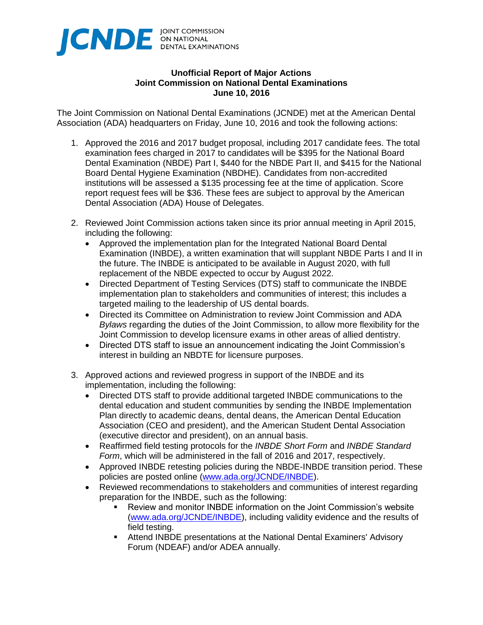

## **Unofficial Report of Major Actions Joint Commission on National Dental Examinations June 10, 2016**

The Joint Commission on National Dental Examinations (JCNDE) met at the American Dental Association (ADA) headquarters on Friday, June 10, 2016 and took the following actions:

- 1. Approved the 2016 and 2017 budget proposal, including 2017 candidate fees. The total examination fees charged in 2017 to candidates will be \$395 for the National Board Dental Examination (NBDE) Part I, \$440 for the NBDE Part II, and \$415 for the National Board Dental Hygiene Examination (NBDHE). Candidates from non-accredited institutions will be assessed a \$135 processing fee at the time of application. Score report request fees will be \$36. These fees are subject to approval by the American Dental Association (ADA) House of Delegates.
- 2. Reviewed Joint Commission actions taken since its prior annual meeting in April 2015, including the following:
	- Approved the implementation plan for the Integrated National Board Dental Examination (INBDE), a written examination that will supplant NBDE Parts I and II in the future. The INBDE is anticipated to be available in August 2020, with full replacement of the NBDE expected to occur by August 2022.
	- Directed Department of Testing Services (DTS) staff to communicate the INBDE implementation plan to stakeholders and communities of interest; this includes a targeted mailing to the leadership of US dental boards.
	- Directed its Committee on Administration to review Joint Commission and ADA *Bylaws* regarding the duties of the Joint Commission, to allow more flexibility for the Joint Commission to develop licensure exams in other areas of allied dentistry.
	- Directed DTS staff to issue an announcement indicating the Joint Commission's interest in building an NBDTE for licensure purposes.
- 3. Approved actions and reviewed progress in support of the INBDE and its implementation, including the following:
	- Directed DTS staff to provide additional targeted INBDE communications to the dental education and student communities by sending the INBDE Implementation Plan directly to academic deans, dental deans, the American Dental Education Association (CEO and president), and the American Student Dental Association (executive director and president), on an annual basis.
	- Reaffirmed field testing protocols for the *INBDE Short Form* and *INBDE Standard Form*, which will be administered in the fall of 2016 and 2017, respectively.
	- Approved INBDE retesting policies during the NBDE-INBDE transition period. These policies are posted online [\(www.ada.org/JCNDE/INBDE\)](http://www.ada.org/JCNDE/INBDE).
	- Reviewed recommendations to stakeholders and communities of interest regarding preparation for the INBDE, such as the following:
		- Review and monitor INBDE information on the Joint Commission's website [\(www.ada.org/JCNDE/INBDE\)](http://www.ada.org/JCNDE/INBDE), including validity evidence and the results of field testing.
		- **EXTERGED INGLEY 2** Attend INBDE presentations at the National Dental Examiners' Advisory Forum (NDEAF) and/or ADEA annually.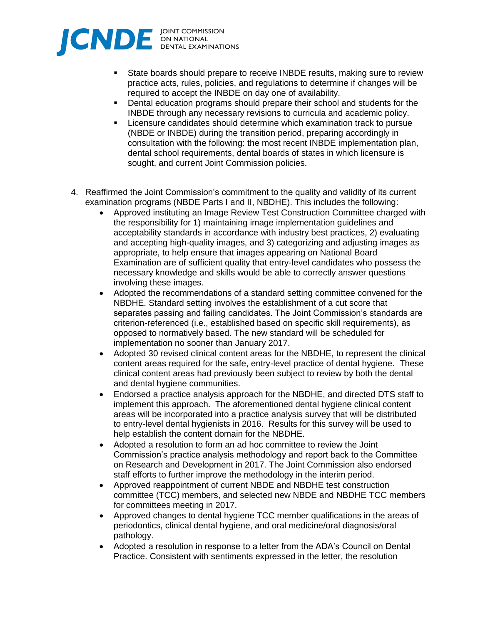

- State boards should prepare to receive INBDE results, making sure to review practice acts, rules, policies, and regulations to determine if changes will be required to accept the INBDE on day one of availability.
- **•** Dental education programs should prepare their school and students for the INBDE through any necessary revisions to curricula and academic policy.
- Licensure candidates should determine which examination track to pursue (NBDE or INBDE) during the transition period, preparing accordingly in consultation with the following: the most recent INBDE implementation plan, dental school requirements, dental boards of states in which licensure is sought, and current Joint Commission policies.
- 4. Reaffirmed the Joint Commission's commitment to the quality and validity of its current examination programs (NBDE Parts I and II, NBDHE). This includes the following:
	- Approved instituting an Image Review Test Construction Committee charged with the responsibility for 1) maintaining image implementation guidelines and acceptability standards in accordance with industry best practices, 2) evaluating and accepting high-quality images, and 3) categorizing and adjusting images as appropriate, to help ensure that images appearing on National Board Examination are of sufficient quality that entry-level candidates who possess the necessary knowledge and skills would be able to correctly answer questions involving these images.
	- Adopted the recommendations of a standard setting committee convened for the NBDHE. Standard setting involves the establishment of a cut score that separates passing and failing candidates. The Joint Commission's standards are criterion-referenced (i.e., established based on specific skill requirements), as opposed to normatively based. The new standard will be scheduled for implementation no sooner than January 2017.
	- Adopted 30 revised clinical content areas for the NBDHE, to represent the clinical content areas required for the safe, entry-level practice of dental hygiene. These clinical content areas had previously been subject to review by both the dental and dental hygiene communities.
	- Endorsed a practice analysis approach for the NBDHE, and directed DTS staff to implement this approach. The aforementioned dental hygiene clinical content areas will be incorporated into a practice analysis survey that will be distributed to entry-level dental hygienists in 2016. Results for this survey will be used to help establish the content domain for the NBDHE.
	- Adopted a resolution to form an ad hoc committee to review the Joint Commission's practice analysis methodology and report back to the Committee on Research and Development in 2017. The Joint Commission also endorsed staff efforts to further improve the methodology in the interim period.
	- Approved reappointment of current NBDE and NBDHE test construction committee (TCC) members, and selected new NBDE and NBDHE TCC members for committees meeting in 2017.
	- Approved changes to dental hygiene TCC member qualifications in the areas of periodontics, clinical dental hygiene, and oral medicine/oral diagnosis/oral pathology.
	- Adopted a resolution in response to a letter from the ADA's Council on Dental Practice. Consistent with sentiments expressed in the letter, the resolution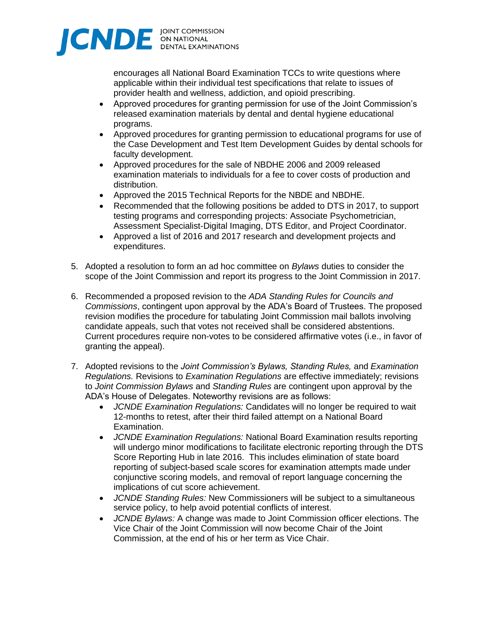

encourages all National Board Examination TCCs to write questions where applicable within their individual test specifications that relate to issues of provider health and wellness, addiction, and opioid prescribing.

- Approved procedures for granting permission for use of the Joint Commission's released examination materials by dental and dental hygiene educational programs.
- Approved procedures for granting permission to educational programs for use of the Case Development and Test Item Development Guides by dental schools for faculty development.
- Approved procedures for the sale of NBDHE 2006 and 2009 released examination materials to individuals for a fee to cover costs of production and distribution.
- Approved the 2015 Technical Reports for the NBDE and NBDHE.
- Recommended that the following positions be added to DTS in 2017, to support testing programs and corresponding projects: Associate Psychometrician, Assessment Specialist-Digital Imaging, DTS Editor, and Project Coordinator.
- Approved a list of 2016 and 2017 research and development projects and expenditures.
- 5. Adopted a resolution to form an ad hoc committee on *Bylaws* duties to consider the scope of the Joint Commission and report its progress to the Joint Commission in 2017.
- 6. Recommended a proposed revision to the *ADA Standing Rules for Councils and Commissions*, contingent upon approval by the ADA's Board of Trustees. The proposed revision modifies the procedure for tabulating Joint Commission mail ballots involving candidate appeals, such that votes not received shall be considered abstentions. Current procedures require non-votes to be considered affirmative votes (i.e., in favor of granting the appeal).
- 7. Adopted revisions to the *Joint Commission's Bylaws, Standing Rules,* and *Examination Regulations.* Revisions to *Examination Regulations* are effective immediately; revisions to *Joint Commission Bylaws* and *Standing Rules* are contingent upon approval by the ADA's House of Delegates. Noteworthy revisions are as follows:
	- *JCNDE Examination Regulations:* Candidates will no longer be required to wait 12-months to retest, after their third failed attempt on a National Board Examination.
	- *JCNDE Examination Regulations:* National Board Examination results reporting will undergo minor modifications to facilitate electronic reporting through the DTS Score Reporting Hub in late 2016. This includes elimination of state board reporting of subject-based scale scores for examination attempts made under conjunctive scoring models, and removal of report language concerning the implications of cut score achievement.
	- *JCNDE Standing Rules:* New Commissioners will be subject to a simultaneous service policy, to help avoid potential conflicts of interest.
	- *JCNDE Bylaws:* A change was made to Joint Commission officer elections. The Vice Chair of the Joint Commission will now become Chair of the Joint Commission, at the end of his or her term as Vice Chair.